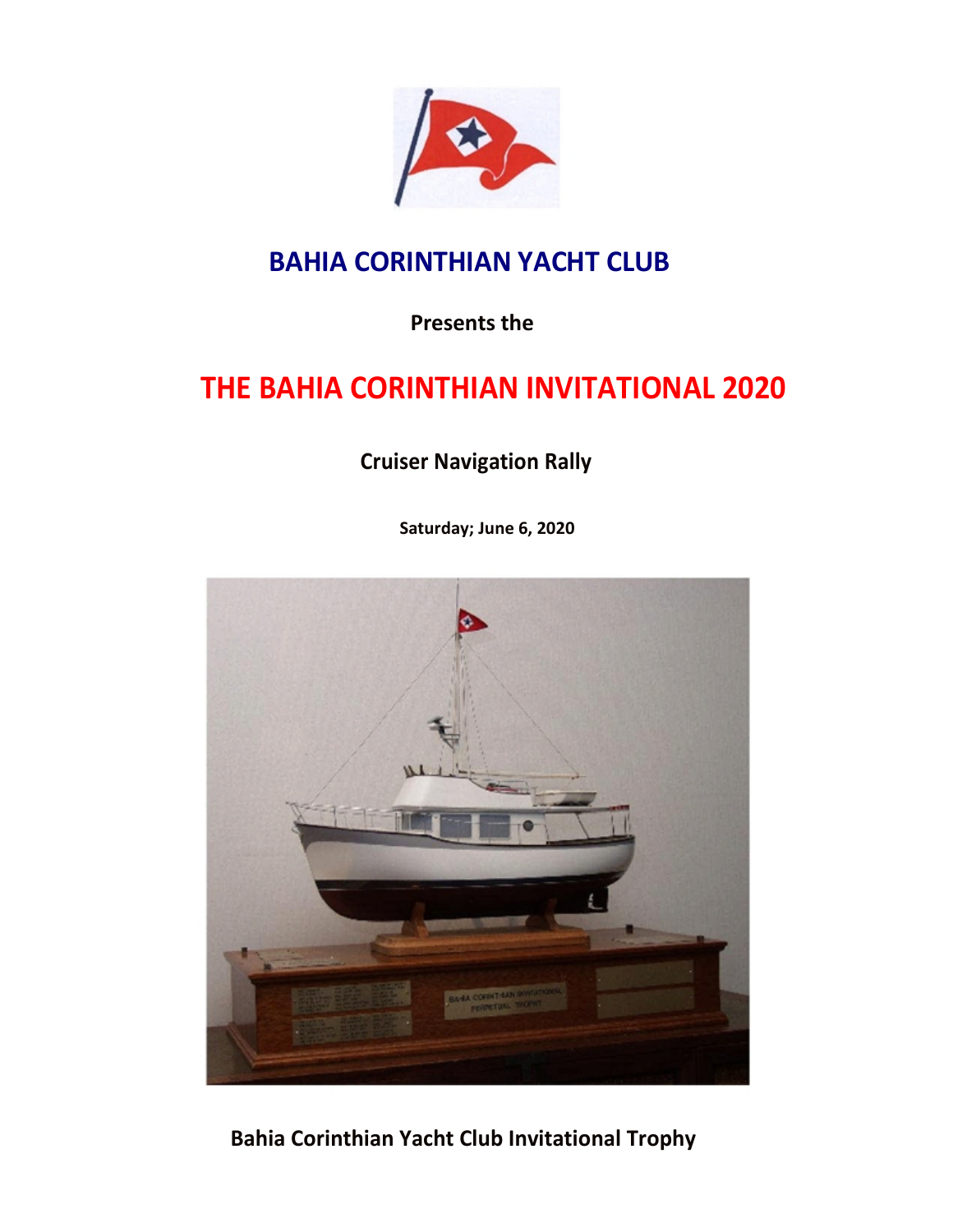

## **BAHIA CORINTHIAN YACHT CLUB**

**Presents the** 

# **THE BAHIA CORINTHIAN INVITATIONAL 2020**

**Cruiser Navigation Rally**

**Saturday; June 6, 2020**



**Bahia Corinthian Yacht Club Invitational Trophy**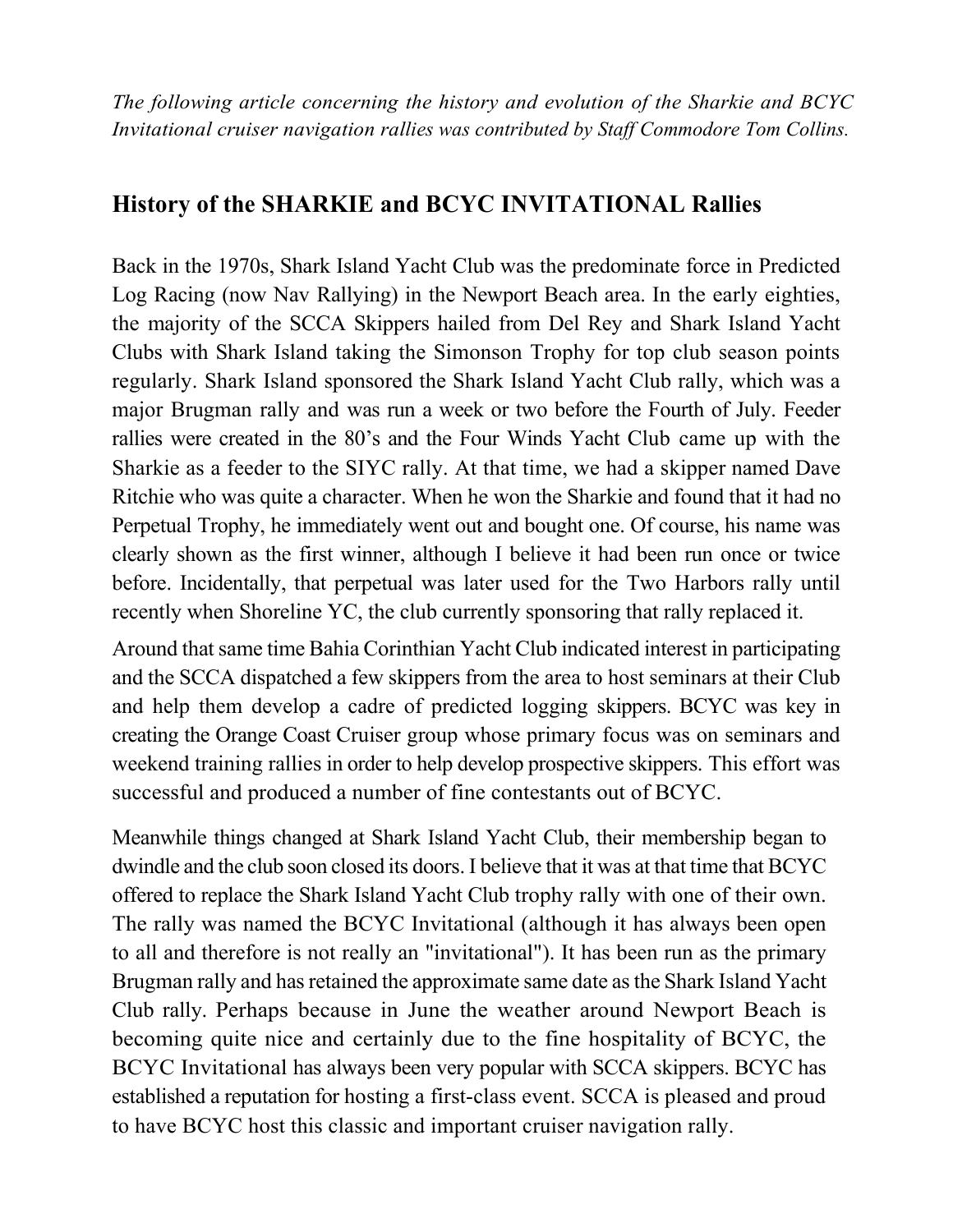*The following article concerning the history and evolution of the Sharkie and BCYC Invitational cruiser navigation rallies was contributed by Staff Commodore Tom Collins.*

#### **History of the SHARKIE and BCYC INVITATIONAL Rallies**

Back in the 1970s, Shark Island Yacht Club was the predominate force in Predicted Log Racing (now Nav Rallying) in the Newport Beach area. In the early eighties, the majority of the SCCA Skippers hailed from Del Rey and Shark Island Yacht Clubs with Shark Island taking the Simonson Trophy for top club season points regularly. Shark Island sponsored the Shark Island Yacht Club rally, which was a major Brugman rally and was run a week or two before the Fourth of July. Feeder rallies were created in the 80's and the Four Winds Yacht Club came up with the Sharkie as a feeder to the SIYC rally. At that time, we had a skipper named Dave Ritchie who was quite a character. When he won the Sharkie and found that it had no Perpetual Trophy, he immediately went out and bought one. Of course, his name was clearly shown as the first winner, although I believe it had been run once or twice before. Incidentally, that perpetual was later used for the Two Harbors rally until recently when Shoreline YC, the club currently sponsoring that rally replaced it.

Around that same time Bahia Corinthian Yacht Club indicated interest in participating and the SCCA dispatched a few skippers from the area to host seminars at their Club and help them develop a cadre of predicted logging skippers. BCYC was key in creating the Orange Coast Cruiser group whose primary focus was on seminars and weekend training rallies in order to help develop prospective skippers. This effort was successful and produced a number of fine contestants out of BCYC.

Meanwhile things changed at Shark Island Yacht Club, their membership began to dwindle and the club soon closed its doors. I believe that it was at that time that BCYC offered to replace the Shark Island Yacht Club trophy rally with one of their own. The rally was named the BCYC Invitational (although it has always been open to all and therefore is not really an "invitational"). It has been run as the primary Brugman rally and has retained the approximate same date as the Shark Island Yacht Club rally. Perhaps because in June the weather around Newport Beach is becoming quite nice and certainly due to the fine hospitality of BCYC, the BCYC Invitational has always been very popular with SCCA skippers. BCYC has established a reputation for hosting a first-class event. SCCA is pleased and proud to have BCYC host this classic and important cruiser navigation rally.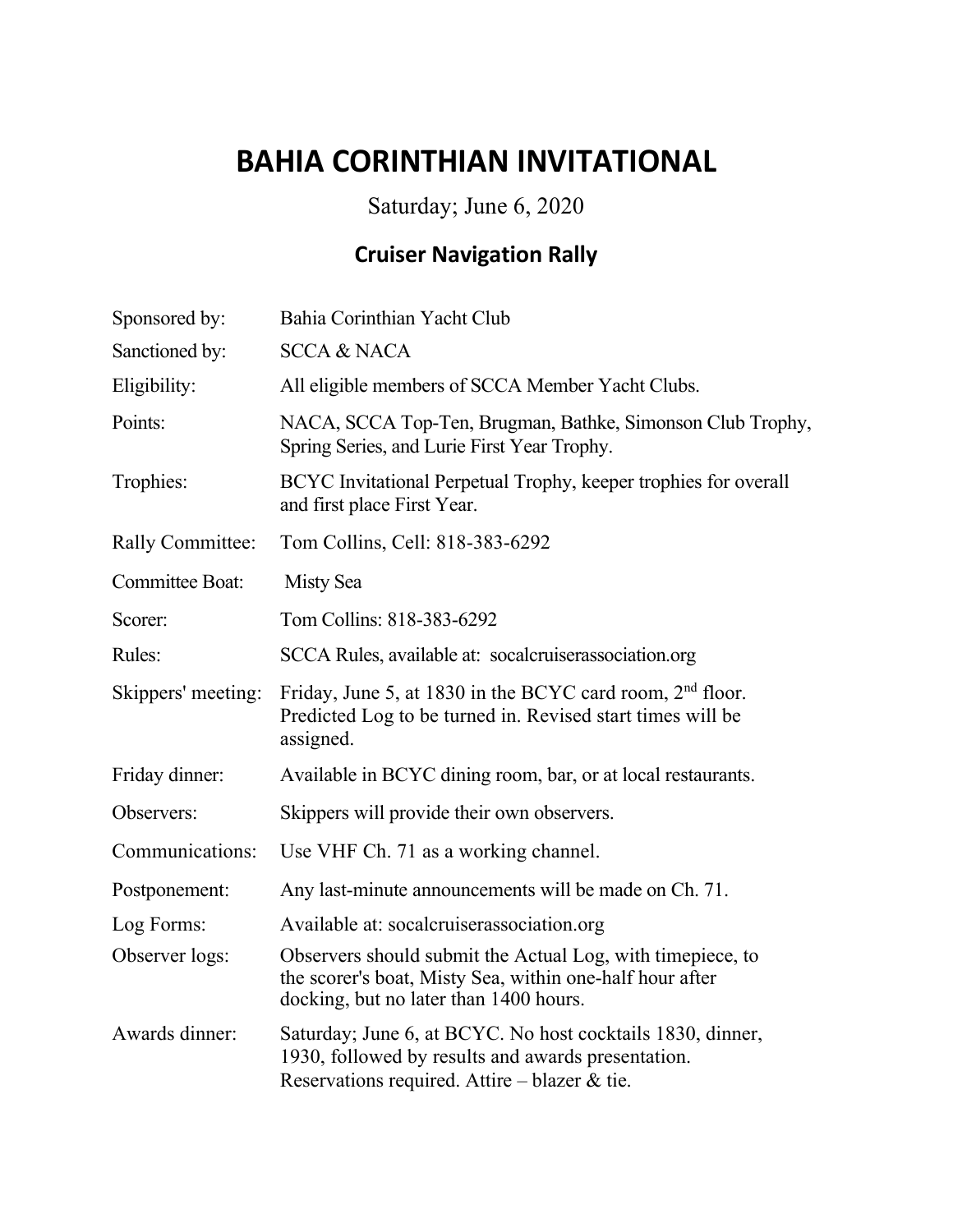# **BAHIA CORINTHIAN INVITATIONAL**

Saturday; June 6, 2020

#### **Cruiser Navigation Rally**

| Sponsored by:           | Bahia Corinthian Yacht Club                                                                                                                                         |  |
|-------------------------|---------------------------------------------------------------------------------------------------------------------------------------------------------------------|--|
| Sanctioned by:          | <b>SCCA &amp; NACA</b>                                                                                                                                              |  |
| Eligibility:            | All eligible members of SCCA Member Yacht Clubs.                                                                                                                    |  |
| Points:                 | NACA, SCCA Top-Ten, Brugman, Bathke, Simonson Club Trophy,<br>Spring Series, and Lurie First Year Trophy.                                                           |  |
| Trophies:               | BCYC Invitational Perpetual Trophy, keeper trophies for overall<br>and first place First Year.                                                                      |  |
| <b>Rally Committee:</b> | Tom Collins, Cell: 818-383-6292                                                                                                                                     |  |
| <b>Committee Boat:</b>  | Misty Sea                                                                                                                                                           |  |
| Scorer:                 | Tom Collins: 818-383-6292                                                                                                                                           |  |
| Rules:                  | SCCA Rules, available at: socalcruiserassociation.org                                                                                                               |  |
| Skippers' meeting:      | Friday, June 5, at 1830 in the BCYC card room, $2nd$ floor.<br>Predicted Log to be turned in. Revised start times will be<br>assigned.                              |  |
| Friday dinner:          | Available in BCYC dining room, bar, or at local restaurants.                                                                                                        |  |
| Observers:              | Skippers will provide their own observers.                                                                                                                          |  |
| Communications:         | Use VHF Ch. 71 as a working channel.                                                                                                                                |  |
| Postponement:           | Any last-minute announcements will be made on Ch. 71.                                                                                                               |  |
| Log Forms:              | Available at: socalcruiserassociation.org                                                                                                                           |  |
| Observer logs:          | Observers should submit the Actual Log, with timepiece, to<br>the scorer's boat, Misty Sea, within one-half hour after<br>docking, but no later than 1400 hours.    |  |
| Awards dinner:          | Saturday; June 6, at BCYC. No host cocktails 1830, dinner,<br>1930, followed by results and awards presentation.<br>Reservations required. Attire – blazer $&$ tie. |  |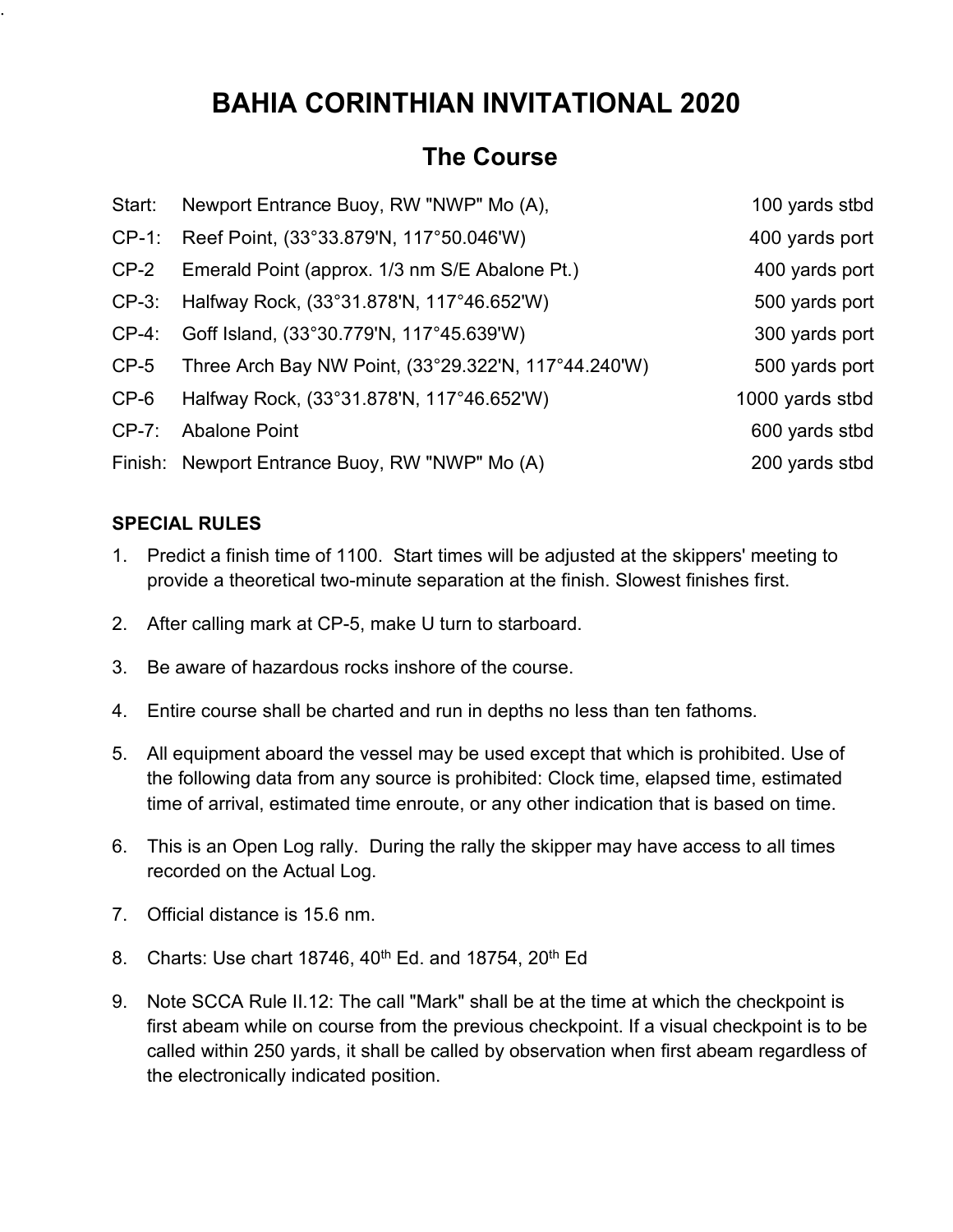## **BAHIA CORINTHIAN INVITATIONAL 2020**

#### **The Course**

|          | Start: Newport Entrance Buoy, RW "NWP" Mo (A),       | 100 yards stbd  |
|----------|------------------------------------------------------|-----------------|
|          | CP-1: Reef Point, (33°33.879'N, 117°50.046'W)        | 400 yards port  |
| $CP-2$   | Emerald Point (approx. 1/3 nm S/E Abalone Pt.)       | 400 yards port  |
|          | CP-3: Halfway Rock, (33°31.878'N, 117°46.652'W)      | 500 yards port  |
| $CP-4$ : | Goff Island, (33°30.779'N, 117°45.639'W)             | 300 yards port  |
| $CP-5$   | Three Arch Bay NW Point, (33°29.322'N, 117°44.240'W) | 500 yards port  |
| $CP-6$   | Halfway Rock, (33°31.878'N, 117°46.652'W)            | 1000 yards stbd |
| $CP-7$ : | <b>Abalone Point</b>                                 | 600 yards stbd  |
|          | Finish: Newport Entrance Buoy, RW "NWP" Mo (A)       | 200 yards stbd  |

#### **SPECIAL RULES**

.

- 1. Predict a finish time of 1100. Start times will be adjusted at the skippers' meeting to provide a theoretical two-minute separation at the finish. Slowest finishes first.
- 2. After calling mark at CP-5, make U turn to starboard.
- 3. Be aware of hazardous rocks inshore of the course.
- 4. Entire course shall be charted and run in depths no less than ten fathoms.
- 5. All equipment aboard the vessel may be used except that which is prohibited. Use of the following data from any source is prohibited: Clock time, elapsed time, estimated time of arrival, estimated time enroute, or any other indication that is based on time.
- 6. This is an Open Log rally. During the rally the skipper may have access to all times recorded on the Actual Log.
- 7. Official distance is 15.6 nm.
- 8. Charts: Use chart 18746,  $40^{th}$  Ed. and 18754,  $20^{th}$  Ed
- 9. Note SCCA Rule II.12: The call "Mark" shall be at the time at which the checkpoint is first abeam while on course from the previous checkpoint. If a visual checkpoint is to be called within 250 yards, it shall be called by observation when first abeam regardless of the electronically indicated position.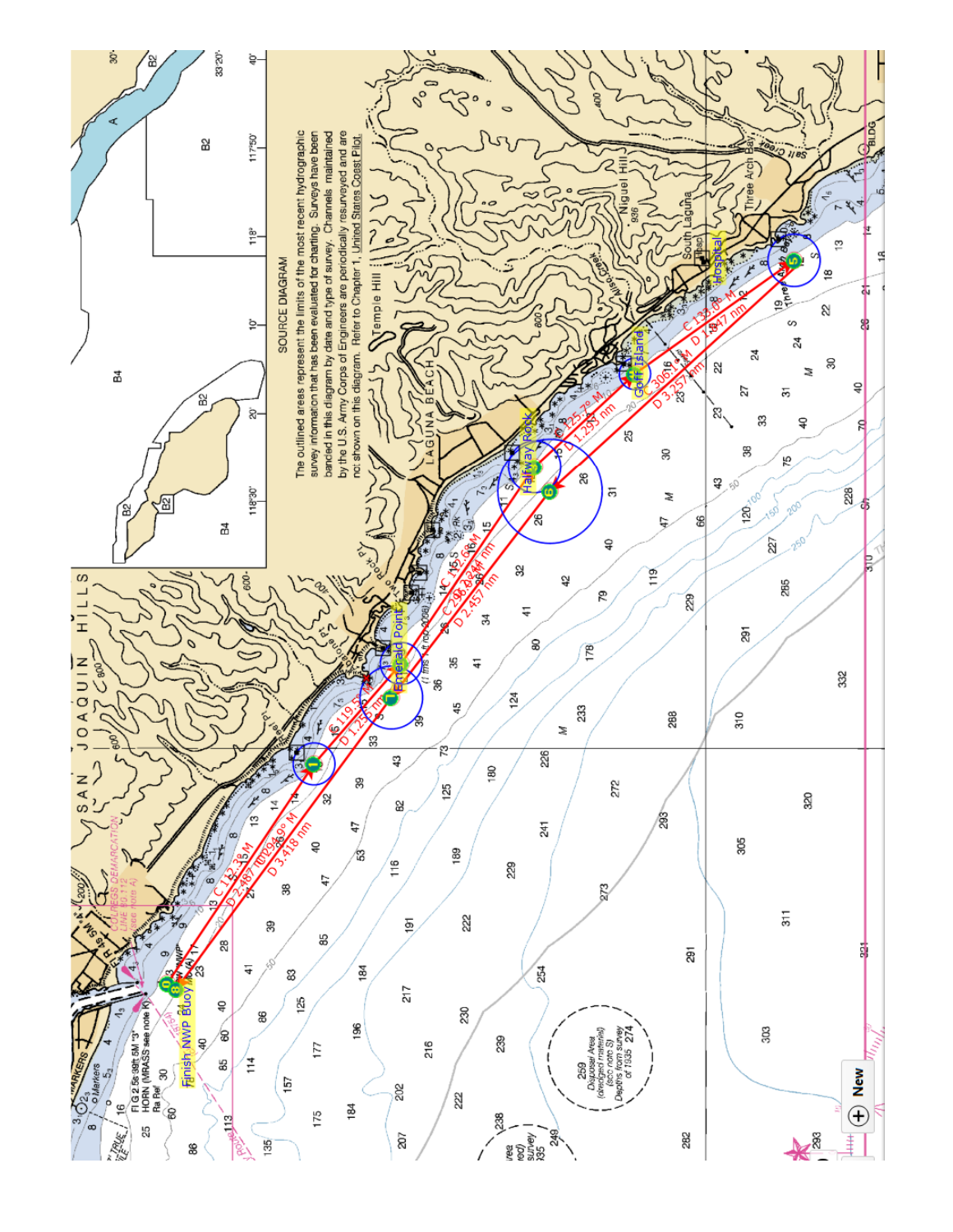